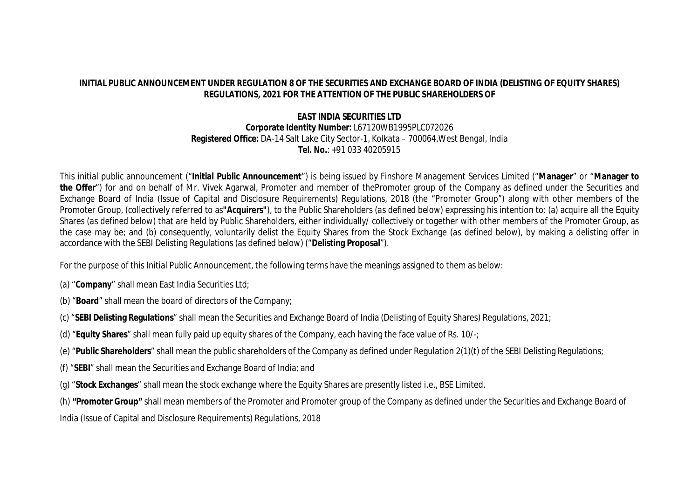# **INITIAL PUBLIC ANNOUNCEMENT UNDER REGULATION 8 OF THE SECURITIES AND EXCHANGE BOARD OF INDIA (DELISTING OF EQUITY SHARES) REGULATIONS, 2021 FOR THE ATTENTION OF THE PUBLIC SHAREHOLDERS OF**

# **EAST INDIA SECURITIES LTD**

#### **Corporate Identity Number:** L67120WB1995PLC072026 **Registered Office:** DA-14 Salt Lake City Sector-1, Kolkata – 700064,West Bengal, India **Tel. No.**: +91 033 40205915

This initial public announcement ("**Initial Public Announcement**") is being issued by Finshore Management Services Limited ("**Manager**" or "**Manager to**  the Offer") for and on behalf of Mr. Vivek Agarwal, Promoter and member of thePromoter group of the Company as defined under the Securities and Exchange Board of India (Issue of Capital and Disclosure Requirements) Regulations, 2018 (the "Promoter Group") along with other members of the Promoter Group, (collectively referred to as**"Acquirers"**), to the Public Shareholders (*as defined below*) expressing his intention to: (a) acquire all the Equity Shares (*as defined below*) that are held by Public Shareholders, either individually/ collectively or together with other members of the Promoter Group, as the case may be; and (b) consequently, voluntarily delist the Equity Shares from the Stock Exchange (*as defined below*), by making a delisting offer in accordance with the SEBI Delisting Regulations (*as defined below*) ("**Delisting Proposal**").

For the purpose of this Initial Public Announcement, the following terms have the meanings assigned to them as below:

- (a) "**Company**" shall mean East India Securities Ltd;
- (b) "**Board**" shall mean the board of directors of the Company;
- (c) "**SEBI Delisting Regulations**" shall mean the Securities and Exchange Board of India (Delisting of Equity Shares) Regulations, 2021;
- (d) "**Equity Shares**" shall mean fully paid up equity shares of the Company, each having the face value of Rs. 10/-;
- (e) "**Public Shareholders**" shall mean the public shareholders of the Company as defined under Regulation 2(1)(t) of the SEBI Delisting Regulations;
- (f) "**SEBI**" shall mean the Securities and Exchange Board of India; and
- (g) "**Stock Exchanges**" shall mean the stock exchange where the Equity Shares are presently listed i.e., BSE Limited.

(h) **"Promoter Group"** shall mean members of the Promoter and Promoter group of the Company as defined under the Securities and Exchange Board of

India (Issue of Capital and Disclosure Requirements) Regulations, 2018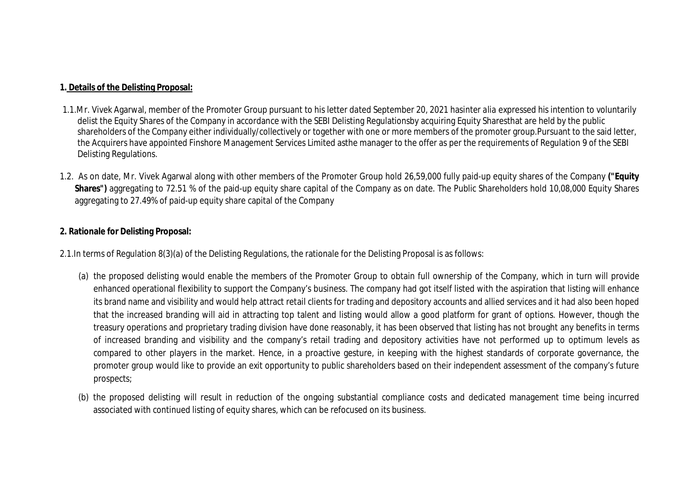# **1. Details of the Delisting Proposal:**

- 1.1.Mr. Vivek Agarwal, member of the Promoter Group pursuant to his letter dated September 20, 2021 has*inter alia* expressed his intention to voluntarily delist the Equity Shares of the Company in accordance with the SEBI Delisting Regulationsby acquiring Equity Sharesthat are held by the public shareholders of the Company either individually/collectively or together with one or more members of the promoter group.Pursuant to the said letter, the Acquirers have appointed Finshore Management Services Limited asthe manager to the offer as per the requirements of Regulation 9 of the SEBI Delisting Regulations.
- 1.2. As on date, Mr. Vivek Agarwal along with other members of the Promoter Group hold 26,59,000 fully paid-up equity shares of the Company **("Equity Shares")** aggregating to 72.51 % of the paid-up equity share capital of the Company as on date. The Public Shareholders hold 10,08,000 Equity Shares aggregating to 27.49% of paid-up equity share capital of the Company

# **2. Rationale for Delisting Proposal:**

2.1.In terms of Regulation 8(3)(a) of the Delisting Regulations, the rationale for the Delisting Proposal is as follows:

- (a) the proposed delisting would enable the members of the Promoter Group to obtain full ownership of the Company, which in turn will provide enhanced operational flexibility to support the Company's business. The company had got itself listed with the aspiration that listing will enhance its brand name and visibility and would help attract retail clients for trading and depository accounts and allied services and it had also been hoped that the increased branding will aid in attracting top talent and listing would allow a good platform for grant of options. However, though the treasury operations and proprietary trading division have done reasonably, it has been observed that listing has not brought any benefits in terms of increased branding and visibility and the company's retail trading and depository activities have not performed up to optimum levels as compared to other players in the market. Hence, in a proactive gesture, in keeping with the highest standards of corporate governance, the promoter group would like to provide an exit opportunity to public shareholders based on their independent assessment of the company's future prospects;
- (b) the proposed delisting will result in reduction of the ongoing substantial compliance costs and dedicated management time being incurred associated with continued listing of equity shares, which can be refocused on its business.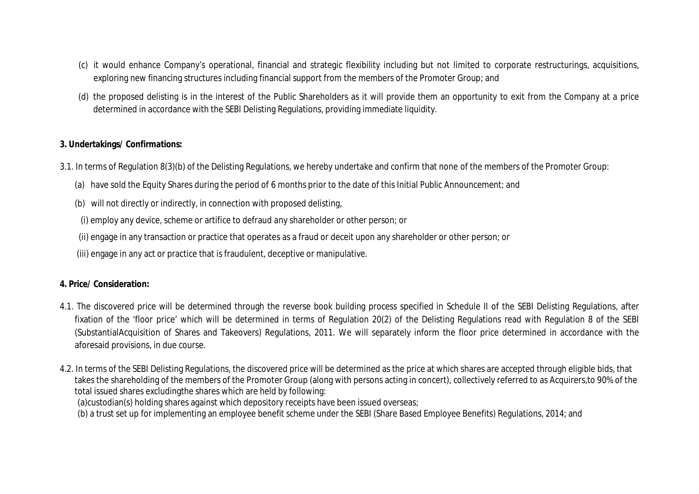- (c) it would enhance Company's operational, financial and strategic flexibility including but not limited to corporate restructurings, acquisitions, exploring new financing structures including financial support from the members of the Promoter Group; and
- (d) the proposed delisting is in the interest of the Public Shareholders as it will provide them an opportunity to exit from the Company at a price determined in accordance with the SEBI Delisting Regulations, providing immediate liquidity.

# **3. Undertakings/ Confirmations:**

- 3.1. In terms of Regulation 8(3)(b) of the Delisting Regulations, we hereby undertake and confirm that none of the members of the Promoter Group:
	- (a) have sold the Equity Shares during the period of 6 months prior to the date of this Initial Public Announcement; and
	- (b) will not directly or indirectly, in connection with proposed delisting,
	- (i) employ any device, scheme or artifice to defraud any shareholder or other person; or
	- (ii) engage in any transaction or practice that operates as a fraud or deceit upon any shareholder or other person; or
	- (iii) engage in any act or practice that is fraudulent, deceptive or manipulative.

### **4. Price/ Consideration:**

- 4.1. The discovered price will be determined through the reverse book building process specified in Schedule II of the SEBI Delisting Regulations, after fixation of the 'floor price' which will be determined in terms of Regulation 20(2) of the Delisting Regulations read with Regulation 8 of the SEBI (SubstantialAcquisition of Shares and Takeovers) Regulations, 2011. We will separately inform the floor price determined in accordance with the aforesaid provisions, in due course.
- 4.2. In terms of the SEBI Delisting Regulations, the discovered price will be determined as the price at which shares are accepted through eligible bids, that takes the shareholding of the members of the Promoter Group (along with persons acting in concert), collectively referred to as Acquirers,to 90% of the total issued shares excludingthe shares which are held by following:
	- (a)custodian(s) holding shares against which depository receipts have been issued overseas;

(b) a trust set up for implementing an employee benefit scheme under the SEBI (Share Based Employee Benefits) Regulations, 2014; and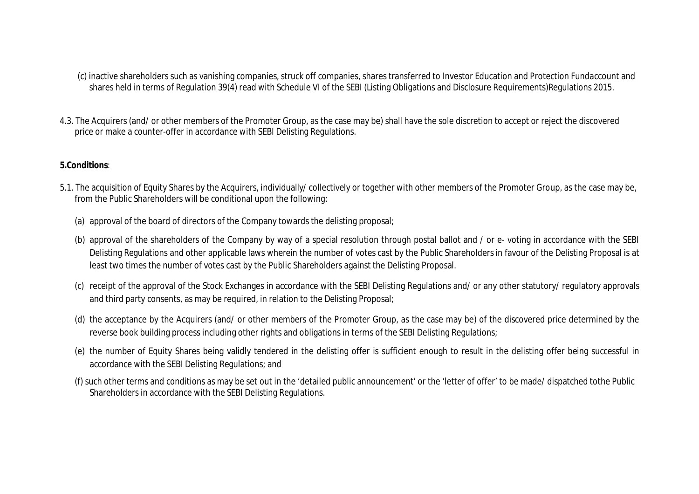(c) inactive shareholders such as vanishing companies, struck off companies, shares transferred to Investor Education and Protection Fundaccount and shares held in terms of Regulation 39(4) read with Schedule VI of the SEBI (Listing Obligations and Disclosure Requirements)Regulations 2015.

4.3. The Acquirers (and/ or other members of the Promoter Group, as the case may be) shall have the sole discretion to accept or reject the discovered price or make a counter-offer in accordance with SEBI Delisting Regulations.

### **5.Conditions**:

- 5.1. The acquisition of Equity Shares by the Acquirers, individually/ collectively or together with other members of the Promoter Group, as the case may be, from the Public Shareholders will be conditional upon the following:
	- (a) approval of the board of directors of the Company towards the delisting proposal;
	- (b) approval of the shareholders of the Company by way of a special resolution through postal ballot and / or e- voting in accordance with the SEBI Delisting Regulations and other applicable laws wherein the number of votes cast by the Public Shareholders in favour of the Delisting Proposal is at least two times the number of votes cast by the Public Shareholders against the Delisting Proposal.
	- (c) receipt of the approval of the Stock Exchanges in accordance with the SEBI Delisting Regulations and/ or any other statutory/ regulatory approvals and third party consents, as may be required, in relation to the Delisting Proposal;
	- (d) the acceptance by the Acquirers (and/ or other members of the Promoter Group, as the case may be) of the discovered price determined by the reverse book building process including other rights and obligations in terms of the SEBI Delisting Regulations;
	- (e) the number of Equity Shares being validly tendered in the delisting offer is sufficient enough to result in the delisting offer being successful in accordance with the SEBI Delisting Regulations; and
	- (f) such other terms and conditions as may be set out in the 'detailed public announcement' or the 'letter of offer' to be made/ dispatched tothe Public Shareholders in accordance with the SEBI Delisting Regulations.